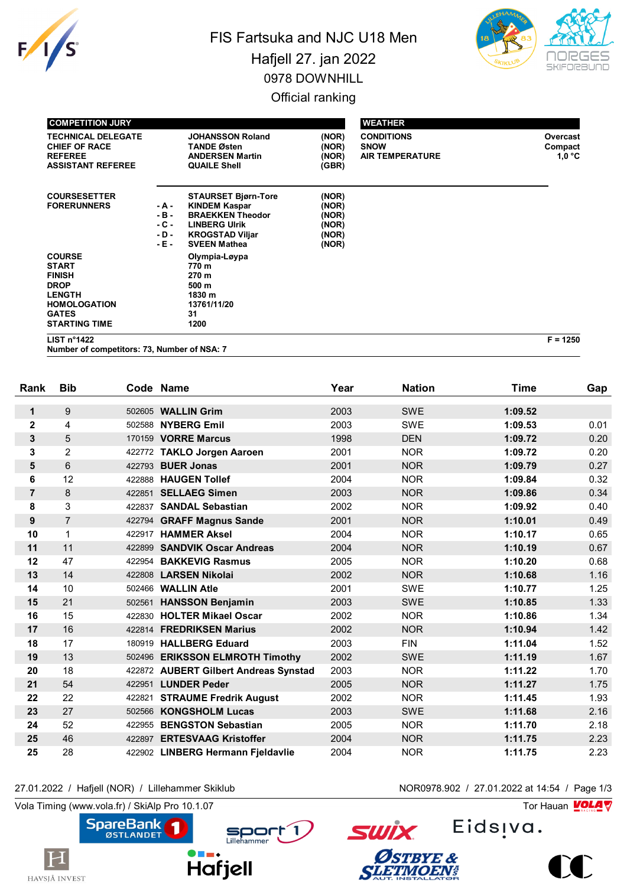

# FIS Fartsuka and NJC U18 Men Hafjell 27. jan 2022 0978 DOWNHILL Official ranking



| <b>COMPETITION JURY</b>                                                                                                                       |                                             |                                                                                                                                                        |                                                    | <b>WEATHER</b>                                             |                               |
|-----------------------------------------------------------------------------------------------------------------------------------------------|---------------------------------------------|--------------------------------------------------------------------------------------------------------------------------------------------------------|----------------------------------------------------|------------------------------------------------------------|-------------------------------|
| <b>TECHNICAL DELEGATE</b><br><b>CHIEF OF RACE</b><br><b>REFEREE</b><br><b>ASSISTANT REFEREE</b>                                               |                                             | <b>JOHANSSON Roland</b><br><b>TANDE Østen</b><br><b>ANDERSEN Martin</b><br><b>QUAILE Shell</b>                                                         | (NOR)<br>(NOR)<br>(NOR)<br>(GBR)                   | <b>CONDITIONS</b><br><b>SNOW</b><br><b>AIR TEMPERATURE</b> | Overcast<br>Compact<br>1.0 °C |
| <b>COURSESETTER</b><br><b>FORERUNNERS</b>                                                                                                     | - A -<br>$-B -$<br>$-C -$<br>- D -<br>- E - | <b>STAURSET Bjørn-Tore</b><br><b>KINDEM Kaspar</b><br><b>BRAEKKEN Theodor</b><br><b>LINBERG UIrik</b><br><b>KROGSTAD Viljar</b><br><b>SVEEN Mathea</b> | (NOR)<br>(NOR)<br>(NOR)<br>(NOR)<br>(NOR)<br>(NOR) |                                                            |                               |
| <b>COURSE</b><br><b>START</b><br><b>FINISH</b><br><b>DROP</b><br><b>LENGTH</b><br><b>HOMOLOGATION</b><br><b>GATES</b><br><b>STARTING TIME</b> |                                             | Olympia-Løypa<br>770 m<br>270 m<br>500 m<br>1830 m<br>13761/11/20<br>31<br>1200                                                                        |                                                    |                                                            |                               |

**LIST n°1422 F = 1250**

**Number of competitors: 73, Number of NSA: 7**

| Rank           | <b>Bib</b>     |        | Code Name                             | Year | <b>Nation</b> | <b>Time</b> | Gap  |
|----------------|----------------|--------|---------------------------------------|------|---------------|-------------|------|
| $\mathbf 1$    | 9              | 502605 | <b>WALLIN Grim</b>                    | 2003 | <b>SWE</b>    | 1:09.52     |      |
| $\mathbf{2}$   | 4              | 502588 | <b>NYBERG Emil</b>                    | 2003 | <b>SWE</b>    | 1:09.53     | 0.01 |
| 3              | 5              |        | 170159 VORRE Marcus                   | 1998 | <b>DEN</b>    | 1:09.72     | 0.20 |
| 3              | $\overline{2}$ |        | 422772 TAKLO Jorgen Aaroen            | 2001 | <b>NOR</b>    | 1:09.72     | 0.20 |
| 5              | 6              | 422793 | <b>BUER Jonas</b>                     | 2001 | <b>NOR</b>    | 1:09.79     | 0.27 |
| 6              | 12             | 422888 | <b>HAUGEN Tollef</b>                  | 2004 | <b>NOR</b>    | 1:09.84     | 0.32 |
| $\overline{7}$ | 8              | 422851 | <b>SELLAEG Simen</b>                  | 2003 | <b>NOR</b>    | 1:09.86     | 0.34 |
| 8              | 3              | 422837 | <b>SANDAL Sebastian</b>               | 2002 | <b>NOR</b>    | 1:09.92     | 0.40 |
| 9              | $\overline{7}$ | 422794 | <b>GRAFF Magnus Sande</b>             | 2001 | <b>NOR</b>    | 1:10.01     | 0.49 |
| 10             | $\mathbf{1}$   | 422917 | <b>HAMMER Aksel</b>                   | 2004 | <b>NOR</b>    | 1:10.17     | 0.65 |
| 11             | 11             | 422899 | <b>SANDVIK Oscar Andreas</b>          | 2004 | <b>NOR</b>    | 1:10.19     | 0.67 |
| 12             | 47             | 422954 | <b>BAKKEVIG Rasmus</b>                | 2005 | <b>NOR</b>    | 1:10.20     | 0.68 |
| 13             | 14             | 422808 | <b>LARSEN Nikolai</b>                 | 2002 | <b>NOR</b>    | 1:10.68     | 1.16 |
| 14             | 10             | 502466 | <b>WALLIN Atle</b>                    | 2001 | <b>SWE</b>    | 1:10.77     | 1.25 |
| 15             | 21             | 502561 | <b>HANSSON Benjamin</b>               | 2003 | <b>SWE</b>    | 1:10.85     | 1.33 |
| 16             | 15             |        | 422830 HOLTER Mikael Oscar            | 2002 | <b>NOR</b>    | 1:10.86     | 1.34 |
| 17             | 16             |        | 422814 FREDRIKSEN Marius              | 2002 | <b>NOR</b>    | 1:10.94     | 1.42 |
| 18             | 17             | 180919 | <b>HALLBERG Eduard</b>                | 2003 | <b>FIN</b>    | 1:11.04     | 1.52 |
| 19             | 13             |        | 502496 ERIKSSON ELMROTH Timothy       | 2002 | <b>SWE</b>    | 1:11.19     | 1.67 |
| 20             | 18             |        | 422872 AUBERT Gilbert Andreas Synstad | 2003 | <b>NOR</b>    | 1:11.22     | 1.70 |
| 21             | 54             |        | 422951 LUNDER Peder                   | 2005 | <b>NOR</b>    | 1:11.27     | 1.75 |
| 22             | 22             | 422821 | <b>STRAUME Fredrik August</b>         | 2002 | <b>NOR</b>    | 1:11.45     | 1.93 |
| 23             | 27             | 502566 | <b>KONGSHOLM Lucas</b>                | 2003 | <b>SWE</b>    | 1:11.68     | 2.16 |
| 24             | 52             | 422955 | <b>BENGSTON Sebastian</b>             | 2005 | <b>NOR</b>    | 1:11.70     | 2.18 |
| 25             | 46             | 422897 | <b>ERTESVAAG Kristoffer</b>           | 2004 | <b>NOR</b>    | 1:11.75     | 2.23 |
| 25             | 28             |        | 422902 LINBERG Hermann Fjeldavlie     | 2004 | <b>NOR</b>    | 1:11.75     | 2.23 |

#### 27.01.2022 / Hafjell (NOR) / Lillehammer Skiklub NOR0978.902 / 27.01.2022 at 14:54 / Page 1/3

Vola Timing (www.vola.fr) / SkiAlp Pro 10.1.07

 $|\mathbf{H}|$ 

HAVSJÅ INVEST



Eids<sub>!va</sub>.

**SWİX** 

Østbye &<br>Sletimoen!

 $\sum$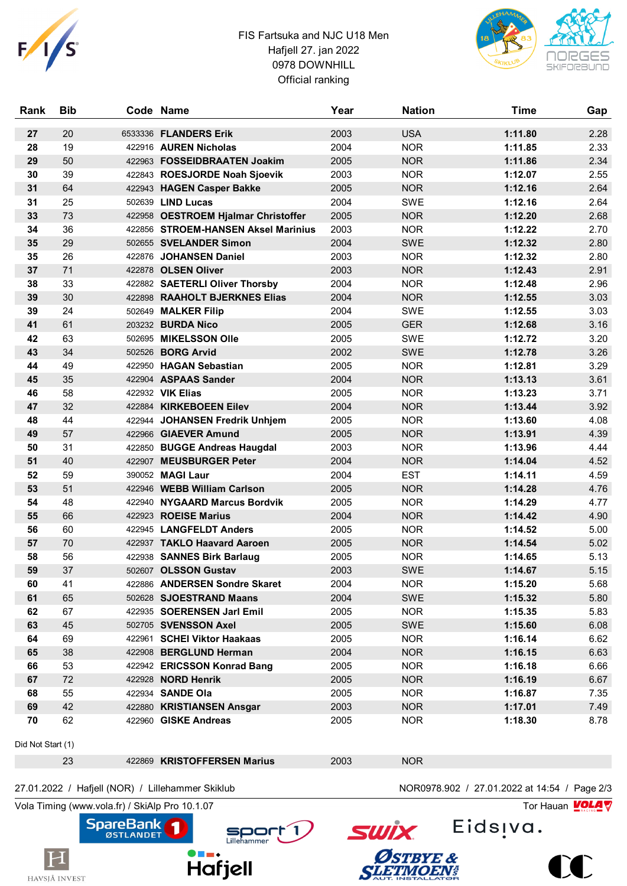

### FIS Fartsuka and NJC U18 Men Hafjell 27. jan 2022 0978 DOWNHILL Official ranking



| Rank              | <b>Bib</b> | Code Name                           | Year | <b>Nation</b> | <b>Time</b> | Gap  |
|-------------------|------------|-------------------------------------|------|---------------|-------------|------|
| 27                | 20         | 6533336 FLANDERS Erik               | 2003 | <b>USA</b>    | 1:11.80     | 2.28 |
| 28                | 19         | 422916 AUREN Nicholas               | 2004 | <b>NOR</b>    | 1:11.85     | 2.33 |
| 29                | 50         | 422963 FOSSEIDBRAATEN Joakim        | 2005 | <b>NOR</b>    | 1:11.86     | 2.34 |
| 30                | 39         | 422843 ROESJORDE Noah Sjoevik       | 2003 | <b>NOR</b>    | 1:12.07     | 2.55 |
| 31                | 64         | 422943 HAGEN Casper Bakke           | 2005 | <b>NOR</b>    | 1:12.16     | 2.64 |
| 31                | 25         | 502639 LIND Lucas                   | 2004 | <b>SWE</b>    | 1:12.16     | 2.64 |
| 33                | 73         | 422958 OESTROEM Hjalmar Christoffer | 2005 | <b>NOR</b>    | 1:12.20     | 2.68 |
| 34                | 36         | 422856 STROEM-HANSEN Aksel Marinius | 2003 | <b>NOR</b>    | 1:12.22     | 2.70 |
| 35                | 29         | 502655 SVELANDER Simon              | 2004 | <b>SWE</b>    | 1:12.32     | 2.80 |
| 35                | 26         | 422876 JOHANSEN Daniel              | 2003 | <b>NOR</b>    | 1:12.32     | 2.80 |
| 37                | 71         | 422878 OLSEN Oliver                 | 2003 | <b>NOR</b>    | 1:12.43     | 2.91 |
| 38                | 33         | 422882 SAETERLI Oliver Thorsby      | 2004 | <b>NOR</b>    | 1:12.48     | 2.96 |
| 39                | 30         | 422898 RAAHOLT BJERKNES Elias       | 2004 | <b>NOR</b>    | 1:12.55     | 3.03 |
| 39                | 24         | 502649 MALKER Filip                 | 2004 | <b>SWE</b>    | 1:12.55     | 3.03 |
| 41                | 61         | 203232 BURDA Nico                   | 2005 | <b>GER</b>    | 1:12.68     | 3.16 |
| 42                | 63         | 502695 MIKELSSON Olle               | 2005 | <b>SWE</b>    | 1:12.72     | 3.20 |
| 43                | 34         | 502526 <b>BORG Arvid</b>            | 2002 | <b>SWE</b>    | 1:12.78     | 3.26 |
| 44                | 49         | 422950 HAGAN Sebastian              | 2005 | <b>NOR</b>    | 1:12.81     | 3.29 |
| 45                | 35         | 422904 ASPAAS Sander                | 2004 | <b>NOR</b>    | 1:13.13     | 3.61 |
| 46                | 58         | 422932 VIK Elias                    | 2005 | <b>NOR</b>    | 1:13.23     | 3.71 |
| 47                | 32         | 422884 KIRKEBOEEN Eilev             | 2004 | <b>NOR</b>    | 1:13.44     | 3.92 |
| 48                | 44         | 422944 JOHANSEN Fredrik Unhjem      | 2005 | <b>NOR</b>    | 1:13.60     | 4.08 |
| 49                | 57         | 422966 GIAEVER Amund                | 2005 | <b>NOR</b>    | 1:13.91     | 4.39 |
| 50                | 31         | 422850 BUGGE Andreas Haugdal        | 2003 | <b>NOR</b>    | 1:13.96     | 4.44 |
| 51                | 40         | 422907 MEUSBURGER Peter             | 2004 | <b>NOR</b>    | 1:14.04     | 4.52 |
| 52                | 59         | 390052 MAGI Laur                    | 2004 | <b>EST</b>    | 1:14.11     | 4.59 |
| 53                | 51         | 422946 WEBB William Carlson         | 2005 | <b>NOR</b>    | 1:14.28     | 4.76 |
| 54                | 48         | 422940 NYGAARD Marcus Bordvik       | 2005 | <b>NOR</b>    | 1:14.29     | 4.77 |
| 55                | 66         | 422923 ROEISE Marius                | 2004 | <b>NOR</b>    | 1:14.42     | 4.90 |
| 56                | 60         | 422945 LANGFELDT Anders             | 2005 | <b>NOR</b>    | 1:14.52     | 5.00 |
| 57                | 70         | 422937 TAKLO Haavard Aaroen         | 2005 | <b>NOR</b>    | 1:14.54     | 5.02 |
| 58                | 56         | 422938 SANNES Birk Barlaug          | 2005 | <b>NOR</b>    | 1:14.65     | 5.13 |
| 59                | 37         | 502607 OLSSON Gustav                | 2003 | <b>SWE</b>    | 1:14.67     | 5.15 |
| 60                | 41         | 422886 ANDERSEN Sondre Skaret       | 2004 | <b>NOR</b>    | 1:15.20     | 5.68 |
| 61                | 65         | 502628 SJOESTRAND Maans             | 2004 | SWE           | 1:15.32     | 5.80 |
| 62                | 67         | 422935 SOERENSEN Jarl Emil          | 2005 | <b>NOR</b>    | 1:15.35     | 5.83 |
| 63                | 45         | 502705 SVENSSON Axel                | 2005 | SWE           | 1:15.60     | 6.08 |
| 64                | 69         | 422961 SCHEI Viktor Haakaas         | 2005 | <b>NOR</b>    | 1:16.14     | 6.62 |
| 65                | 38         | 422908 BERGLUND Herman              | 2004 | <b>NOR</b>    | 1:16.15     | 6.63 |
| 66                | 53         | 422942 ERICSSON Konrad Bang         | 2005 | <b>NOR</b>    | 1:16.18     | 6.66 |
| 67                | 72         | 422928 NORD Henrik                  | 2005 | <b>NOR</b>    | 1:16.19     | 6.67 |
| 68                | 55         | 422934 SANDE Ola                    | 2005 | <b>NOR</b>    | 1:16.87     | 7.35 |
| 69                | 42         | 422880 KRISTIANSEN Ansgar           | 2003 | <b>NOR</b>    | 1:17.01     | 7.49 |
| 70                | 62         | 422960 GISKE Andreas                | 2005 | <b>NOR</b>    | 1:18.30     | 8.78 |
| Did Not Start (1) |            |                                     |      |               |             |      |

23 422869 **KRISTOFFERSEN Marius** 2003 NOR

#### 27.01.2022 / Hafjell (NOR) / Lillehammer Skiklub NOR0978.902 / 27.01.2022 at 14:54 / Page 2/3

**SpareBank** 

Vola Timing (www.vola.fr) / SkiAlp Pro 10.1.07 Tor Hauan  $\sqrt{\frac{1}{2}}$ 

 $\vert \mathrm{H} \vert$ 

HAVSJÅ INVEST



Eids<sub>!va.</sub>



**SWİX**